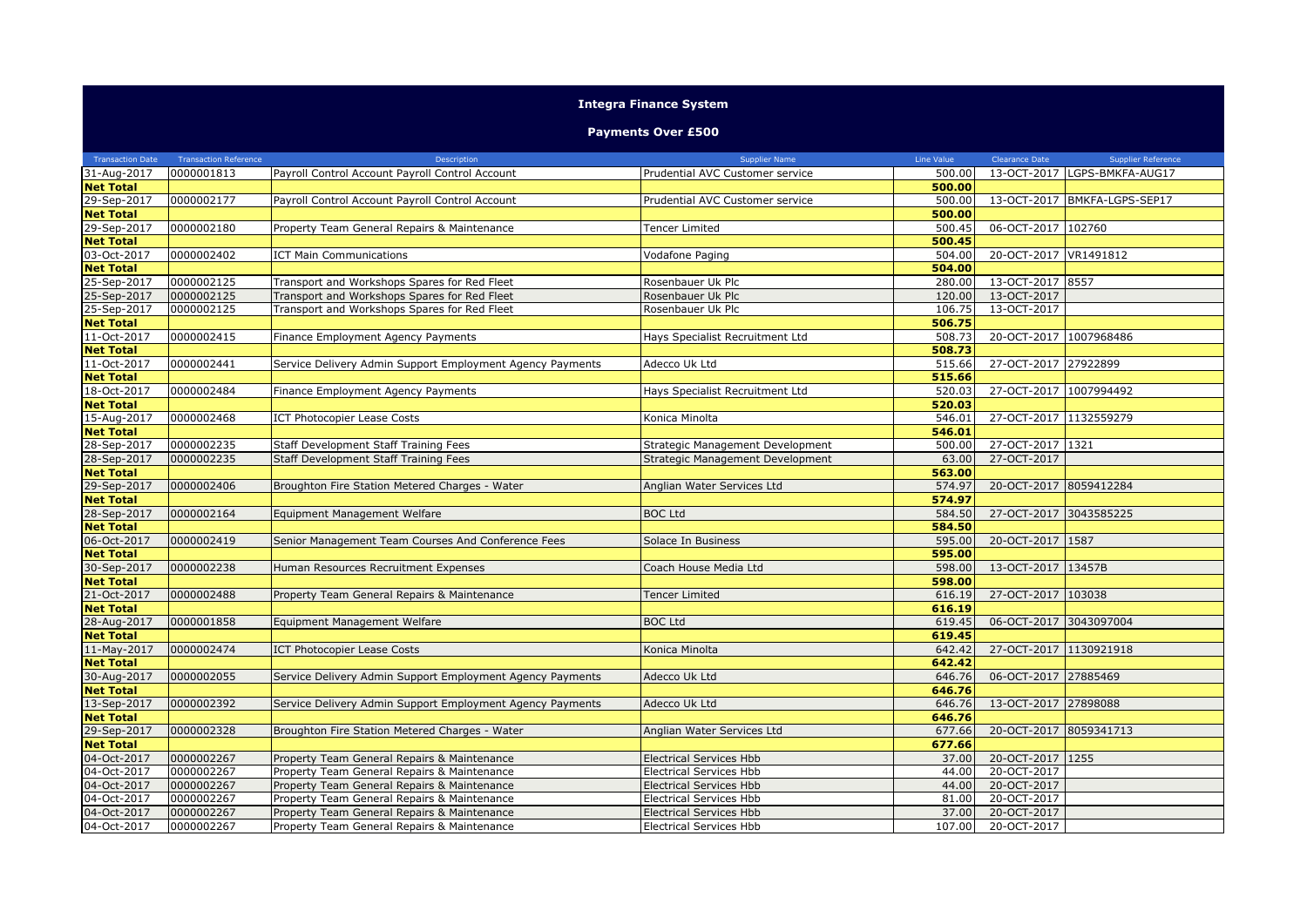## **Integra Finance System**

## **Payments Over £500**

| <b>Transaction Date</b> | <b>Transaction Reference</b> | Description                                               | <b>Supplier Name</b>             | Line Value | Clearance Date         | <b>Supplier Reference</b>    |
|-------------------------|------------------------------|-----------------------------------------------------------|----------------------------------|------------|------------------------|------------------------------|
| 31-Aug-2017             | 0000001813                   | Payroll Control Account Payroll Control Account           | Prudential AVC Customer service  | 500.00     |                        | 13-OCT-2017 LGPS-BMKFA-AUG17 |
| <b>Net Total</b>        |                              |                                                           |                                  | 500.00     |                        |                              |
| 29-Sep-2017             | 0000002177                   | Payroll Control Account Payroll Control Account           | Prudential AVC Customer service  | 500.00     |                        | 13-OCT-2017 BMKFA-LGPS-SEP17 |
| <b>Net Total</b>        |                              |                                                           |                                  | 500.00     |                        |                              |
| 29-Sep-2017             | 0000002180                   | Property Team General Repairs & Maintenance               | <b>Tencer Limited</b>            | 500.45     | 06-OCT-2017 102760     |                              |
| <b>Net Total</b>        |                              |                                                           |                                  | 500.45     |                        |                              |
| 03-Oct-2017             | 0000002402                   | <b>ICT Main Communications</b>                            | Vodafone Paging                  | 504.00     | 20-OCT-2017 VR1491812  |                              |
| <b>Net Total</b>        |                              |                                                           |                                  | 504.00     |                        |                              |
| 25-Sep-2017             | 0000002125                   | Transport and Workshops Spares for Red Fleet              | Rosenbauer Uk Plc                | 280.00     | 13-OCT-2017 8557       |                              |
| 25-Sep-2017             | 0000002125                   | Transport and Workshops Spares for Red Fleet              | Rosenbauer Uk Plc                | 120.00     | 13-OCT-2017            |                              |
| 25-Sep-2017             | 0000002125                   | Transport and Workshops Spares for Red Fleet              | Rosenbauer Uk Plc                | 106.75     | 13-OCT-2017            |                              |
| <b>Net Total</b>        |                              |                                                           |                                  | 506.75     |                        |                              |
| 11-Oct-2017             | 0000002415                   | Finance Employment Agency Payments                        | Hays Specialist Recruitment Ltd  | 508.73     | 20-OCT-2017 1007968486 |                              |
| <b>Net Total</b>        |                              |                                                           |                                  | 508.73     |                        |                              |
| 11-Oct-2017             | 0000002441                   | Service Delivery Admin Support Employment Agency Payments | Adecco Uk Ltd                    | 515.66     | 27-OCT-2017 27922899   |                              |
| <b>Net Total</b>        |                              |                                                           |                                  | 515.66     |                        |                              |
| 18-Oct-2017             | 0000002484                   | Finance Employment Agency Payments                        | Hays Specialist Recruitment Ltd  | 520.03     | 27-OCT-2017 1007994492 |                              |
| <b>Net Total</b>        |                              |                                                           |                                  | 520.03     |                        |                              |
| 15-Aug-2017             | 0000002468                   | <b>ICT Photocopier Lease Costs</b>                        | Konica Minolta                   | 546.01     | 27-OCT-2017 1132559279 |                              |
| <b>Net Total</b>        |                              |                                                           |                                  | 546.01     |                        |                              |
| 28-Sep-2017             | 0000002235                   | Staff Development Staff Training Fees                     | Strategic Management Development | 500.00     | 27-OCT-2017 1321       |                              |
| 28-Sep-2017             | 0000002235                   | Staff Development Staff Training Fees                     | Strategic Management Development | 63.00      | 27-OCT-2017            |                              |
| <b>Net Total</b>        |                              |                                                           |                                  | 563.00     |                        |                              |
| 29-Sep-2017             | 0000002406                   | Broughton Fire Station Metered Charges - Water            | Anglian Water Services Ltd       | 574.97     | 20-OCT-2017 8059412284 |                              |
| <b>Net Total</b>        |                              |                                                           |                                  | 574.97     |                        |                              |
| 28-Sep-2017             | 0000002164                   | Equipment Management Welfare                              | <b>BOC Ltd</b>                   | 584.50     | 27-OCT-2017 3043585225 |                              |
| <b>Net Total</b>        |                              |                                                           |                                  | 584.50     |                        |                              |
| 06-Oct-2017             | 0000002419                   | Senior Management Team Courses And Conference Fees        | Solace In Business               | 595.00     | 20-OCT-2017 1587       |                              |
| <b>Net Total</b>        |                              |                                                           |                                  | 595.00     |                        |                              |
| 30-Sep-2017             | 0000002238                   | Human Resources Recruitment Expenses                      | Coach House Media Ltd            | 598.00     | 13-OCT-2017 13457B     |                              |
| <b>Net Total</b>        |                              |                                                           |                                  | 598.00     |                        |                              |
| 21-Oct-2017             | 0000002488                   | Property Team General Repairs & Maintenance               | <b>Tencer Limited</b>            | 616.19     | 27-OCT-2017 103038     |                              |
| <b>Net Total</b>        |                              |                                                           |                                  | 616.19     |                        |                              |
| 28-Aug-2017             | 0000001858                   | Equipment Management Welfare                              | <b>BOC Ltd</b>                   | 619.45     | 06-OCT-2017 3043097004 |                              |
| <b>Net Total</b>        |                              |                                                           |                                  | 619.45     |                        |                              |
| 11-May-2017             | 0000002474                   | <b>ICT Photocopier Lease Costs</b>                        | Konica Minolta                   | 642.42     | 27-OCT-2017 1130921918 |                              |
| <b>Net Total</b>        |                              |                                                           |                                  | 642.42     |                        |                              |
| 30-Aug-2017             | 0000002055                   | Service Delivery Admin Support Employment Agency Payments | Adecco Uk Ltd                    | 646.76     | 06-OCT-2017 27885469   |                              |
| <b>Net Total</b>        |                              |                                                           |                                  | 646.76     |                        |                              |
| 13-Sep-2017             | 0000002392                   | Service Delivery Admin Support Employment Agency Payments | Adecco Uk Ltd                    | 646.76     | 13-OCT-2017 27898088   |                              |
| <b>Net Total</b>        |                              |                                                           |                                  | 646.76     |                        |                              |
| 29-Sep-2017             | 0000002328                   | Broughton Fire Station Metered Charges - Water            | Anglian Water Services Ltd       | 677.66     | 20-OCT-2017 8059341713 |                              |
| <b>Net Total</b>        |                              |                                                           |                                  | 677.66     |                        |                              |
|                         | 0000002267                   |                                                           |                                  |            | 20-OCT-2017 1255       |                              |
| 04-Oct-2017             | 0000002267                   | Property Team General Repairs & Maintenance               | <b>Electrical Services Hbb</b>   | 37.00      |                        |                              |
| 04-Oct-2017             |                              | Property Team General Repairs & Maintenance               | <b>Electrical Services Hbb</b>   | 44.00      | 20-OCT-2017            |                              |
| 04-Oct-2017             | 0000002267                   | Property Team General Repairs & Maintenance               | <b>Electrical Services Hbb</b>   | 44.00      | 20-OCT-2017            |                              |
| 04-Oct-2017             | 0000002267                   | Property Team General Repairs & Maintenance               | Electrical Services Hbb          | 81.00      | 20-OCT-2017            |                              |
| 04-Oct-2017             | 0000002267                   | Property Team General Repairs & Maintenance               | <b>Electrical Services Hbb</b>   | 37.00      | 20-OCT-2017            |                              |
| 04-Oct-2017             | 0000002267                   | Property Team General Repairs & Maintenance               | <b>Electrical Services Hbb</b>   | 107.00     | 20-OCT-2017            |                              |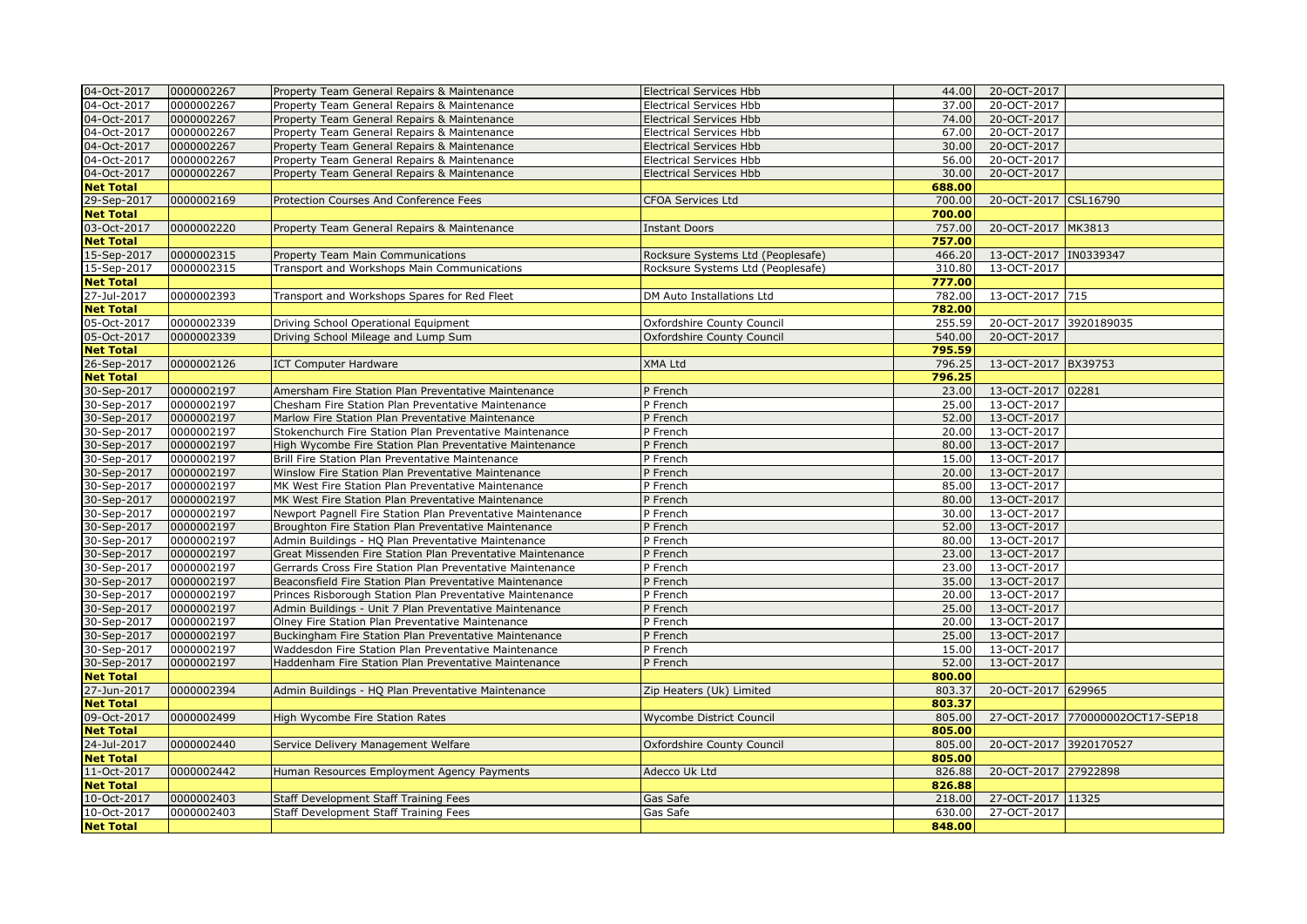| 04-Oct-2017      | 0000002267 | Property Team General Repairs & Maintenance                | <b>Electrical Services Hbb</b>    | 44.00  | 20-OCT-2017            |                                  |
|------------------|------------|------------------------------------------------------------|-----------------------------------|--------|------------------------|----------------------------------|
| 04-Oct-2017      | 0000002267 | Property Team General Repairs & Maintenance                | <b>Electrical Services Hbb</b>    | 37.00  | 20-OCT-2017            |                                  |
| 04-Oct-2017      | 0000002267 | Property Team General Repairs & Maintenance                | <b>Electrical Services Hbb</b>    | 74.00  | 20-OCT-2017            |                                  |
| 04-Oct-2017      | 0000002267 | Property Team General Repairs & Maintenance                | <b>Electrical Services Hbb</b>    | 67.00  | 20-OCT-2017            |                                  |
| 04-Oct-2017      | 0000002267 | Property Team General Repairs & Maintenance                | <b>Electrical Services Hbb</b>    | 30.00  | 20-OCT-2017            |                                  |
| 04-Oct-2017      | 0000002267 | Property Team General Repairs & Maintenance                | Electrical Services Hbb           | 56.00  | 20-OCT-2017            |                                  |
| 04-Oct-2017      | 0000002267 | Property Team General Repairs & Maintenance                | <b>Electrical Services Hbb</b>    | 30.00  | 20-OCT-2017            |                                  |
| <b>Net Total</b> |            |                                                            |                                   | 688.00 |                        |                                  |
| 29-Sep-2017      | 0000002169 | Protection Courses And Conference Fees                     | CFOA Services Ltd                 | 700.00 | 20-OCT-2017 CSL16790   |                                  |
| <b>Net Total</b> |            |                                                            |                                   | 700.00 |                        |                                  |
| 03-Oct-2017      | 0000002220 | Property Team General Repairs & Maintenance                | <b>Instant Doors</b>              | 757.00 | 20-OCT-2017 MK3813     |                                  |
| <b>Net Total</b> |            |                                                            |                                   | 757.00 |                        |                                  |
| 15-Sep-2017      | 0000002315 | Property Team Main Communications                          | Rocksure Systems Ltd (Peoplesafe) | 466.20 | 13-OCT-2017 IN0339347  |                                  |
| 15-Sep-2017      | 0000002315 | Transport and Workshops Main Communications                | Rocksure Systems Ltd (Peoplesafe) | 310.80 | 13-OCT-2017            |                                  |
| <b>Net Total</b> |            |                                                            |                                   | 777.00 |                        |                                  |
| 27-Jul-2017      | 0000002393 | Transport and Workshops Spares for Red Fleet               | DM Auto Installations Ltd         | 782.00 | 13-OCT-2017 715        |                                  |
| <b>Net Total</b> |            |                                                            |                                   | 782.00 |                        |                                  |
| 05-Oct-2017      | 0000002339 | Driving School Operational Equipment                       | Oxfordshire County Council        | 255.59 | 20-OCT-2017 3920189035 |                                  |
| 05-Oct-2017      | 0000002339 | Driving School Mileage and Lump Sum                        | Oxfordshire County Council        | 540.00 | 20-OCT-2017            |                                  |
| <b>Net Total</b> |            |                                                            |                                   | 795.59 |                        |                                  |
| 26-Sep-2017      | 0000002126 | <b>ICT Computer Hardware</b>                               | XMA Ltd                           | 796.25 | 13-OCT-2017 BX39753    |                                  |
| <b>Net Total</b> |            |                                                            |                                   | 796.25 |                        |                                  |
| 30-Sep-2017      | 0000002197 | Amersham Fire Station Plan Preventative Maintenance        | P French                          | 23.00  | 13-OCT-2017 02281      |                                  |
| 30-Sep-2017      | 0000002197 | Chesham Fire Station Plan Preventative Maintenance         | P French                          | 25.00  | 13-OCT-2017            |                                  |
| 30-Sep-2017      | 0000002197 | Marlow Fire Station Plan Preventative Maintenance          | P French                          | 52.00  | 13-OCT-2017            |                                  |
| 30-Sep-2017      | 0000002197 | Stokenchurch Fire Station Plan Preventative Maintenance    | P French                          | 20.00  | 13-OCT-2017            |                                  |
| 30-Sep-2017      | 0000002197 | High Wycombe Fire Station Plan Preventative Maintenance    | P French                          | 80.00  | 13-OCT-2017            |                                  |
| 30-Sep-2017      | 0000002197 | Brill Fire Station Plan Preventative Maintenance           | P French                          | 15.00  | 13-OCT-2017            |                                  |
| 30-Sep-2017      | 0000002197 | Winslow Fire Station Plan Preventative Maintenance         | P French                          | 20.00  | 13-OCT-2017            |                                  |
| 30-Sep-2017      | 0000002197 | MK West Fire Station Plan Preventative Maintenance         | P French                          | 85.00  | 13-OCT-2017            |                                  |
| 30-Sep-2017      | 0000002197 | MK West Fire Station Plan Preventative Maintenance         | P French                          | 80.00  | 13-OCT-2017            |                                  |
| 30-Sep-2017      | 0000002197 | Newport Pagnell Fire Station Plan Preventative Maintenance | P French                          | 30.00  | 13-OCT-2017            |                                  |
| 30-Sep-2017      | 0000002197 | Broughton Fire Station Plan Preventative Maintenance       | P French                          | 52.00  | 13-OCT-2017            |                                  |
| 30-Sep-2017      | 0000002197 | Admin Buildings - HQ Plan Preventative Maintenance         | P French                          | 80.00  | 13-OCT-2017            |                                  |
| 30-Sep-2017      | 0000002197 | Great Missenden Fire Station Plan Preventative Maintenance | P French                          | 23.00  | 13-OCT-2017            |                                  |
| 30-Sep-2017      | 0000002197 | Gerrards Cross Fire Station Plan Preventative Maintenance  | P French                          | 23.00  | 13-OCT-2017            |                                  |
| 30-Sep-2017      | 0000002197 | Beaconsfield Fire Station Plan Preventative Maintenance    | P French                          | 35.00  | 13-OCT-2017            |                                  |
| 30-Sep-2017      | 0000002197 | Princes Risborough Station Plan Preventative Maintenance   | P French                          | 20.00  | 13-OCT-2017            |                                  |
| 30-Sep-2017      | 0000002197 | Admin Buildings - Unit 7 Plan Preventative Maintenance     | P French                          | 25.00  | 13-OCT-2017            |                                  |
| 30-Sep-2017      | 0000002197 | Olney Fire Station Plan Preventative Maintenance           | P French                          | 20.00  | 13-OCT-2017            |                                  |
| 30-Sep-2017      | 0000002197 | Buckingham Fire Station Plan Preventative Maintenance      | P French                          | 25.00  | 13-OCT-2017            |                                  |
| 30-Sep-2017      | 0000002197 | Waddesdon Fire Station Plan Preventative Maintenance       | P French                          | 15.00  | 13-OCT-2017            |                                  |
| 30-Sep-2017      | 0000002197 | Haddenham Fire Station Plan Preventative Maintenance       | P French                          | 52.00  | 13-OCT-2017            |                                  |
| <b>Net Total</b> |            |                                                            |                                   | 800.00 |                        |                                  |
| 27-Jun-2017      | 0000002394 | Admin Buildings - HQ Plan Preventative Maintenance         | Zip Heaters (Uk) Limited          | 803.37 | 20-OCT-2017 629965     |                                  |
| <b>Net Total</b> |            |                                                            |                                   | 803.37 |                        |                                  |
| 09-Oct-2017      | 0000002499 | <b>High Wycombe Fire Station Rates</b>                     | Wycombe District Council          | 805.00 |                        | 27-OCT-2017 770000002OCT17-SEP18 |
| <b>Net Total</b> |            |                                                            |                                   | 805.00 |                        |                                  |
| 24-Jul-2017      | 0000002440 | Service Delivery Management Welfare                        | Oxfordshire County Council        | 805.00 | 20-OCT-2017 3920170527 |                                  |
| <b>Net Total</b> |            |                                                            |                                   | 805.00 |                        |                                  |
| 11-Oct-2017      | 0000002442 | Human Resources Employment Agency Payments                 | Adecco Uk Ltd                     | 826.88 | 20-OCT-2017 27922898   |                                  |
| <b>Net Total</b> |            |                                                            |                                   | 826.88 |                        |                                  |
| 10-Oct-2017      | 0000002403 | Staff Development Staff Training Fees                      | Gas Safe                          | 218.00 | 27-OCT-2017 11325      |                                  |
| 10-Oct-2017      | 0000002403 | Staff Development Staff Training Fees                      | Gas Safe                          | 630.00 | 27-OCT-2017            |                                  |
| <b>Net Total</b> |            |                                                            |                                   | 848.00 |                        |                                  |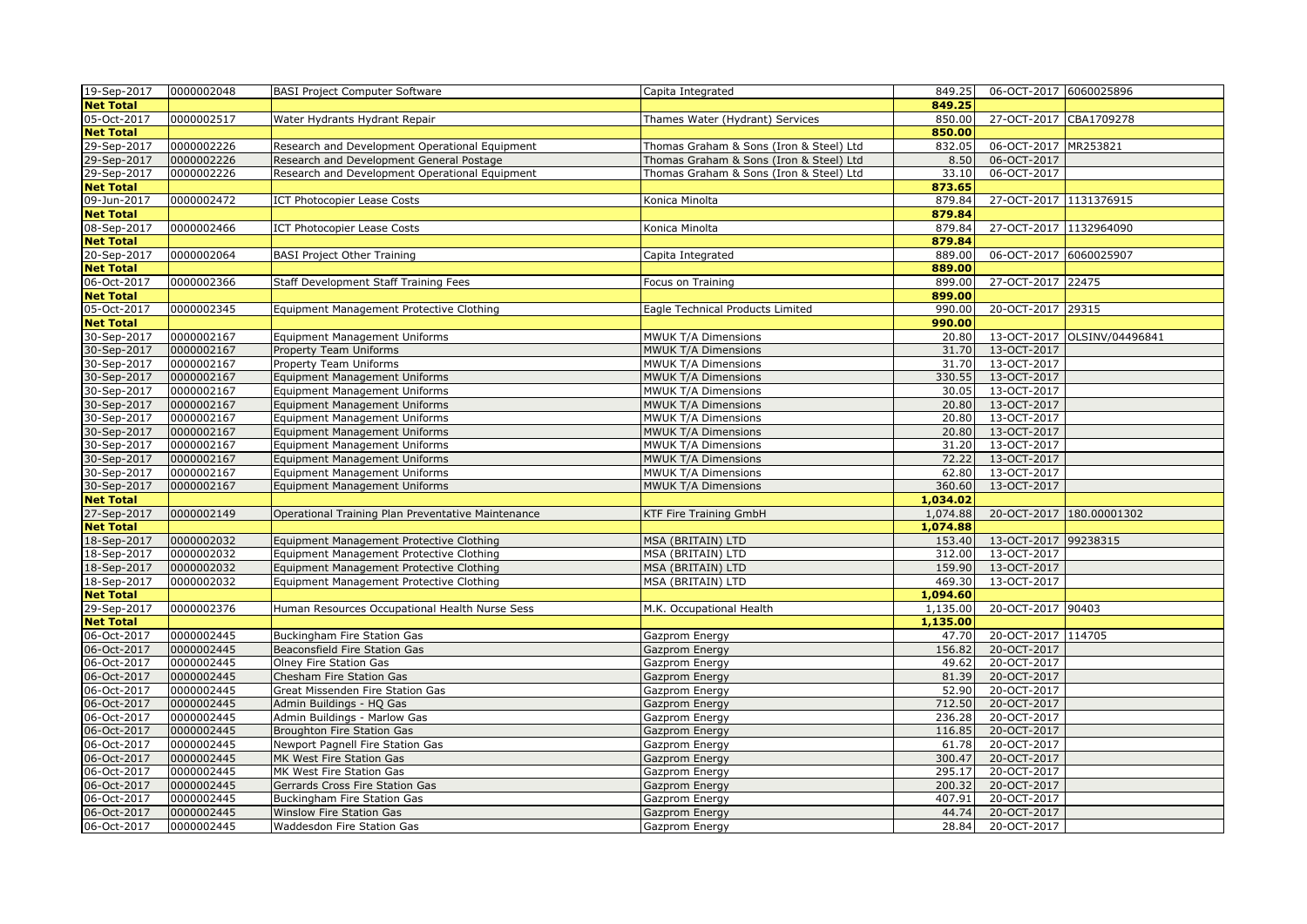| 19-Sep-2017                     | 0000002048               | <b>BASI Project Computer Software</b>                                                | Capita Integrated                       | 849.25               | 06-OCT-2017 6060025896     |                             |
|---------------------------------|--------------------------|--------------------------------------------------------------------------------------|-----------------------------------------|----------------------|----------------------------|-----------------------------|
| <b>Net Total</b>                |                          |                                                                                      |                                         | 849.25               |                            |                             |
| 05-Oct-2017                     | 0000002517               | Water Hydrants Hydrant Repair                                                        | Thames Water (Hydrant) Services         | 850.00               | 27-OCT-2017 CBA1709278     |                             |
| <b>Net Total</b>                |                          |                                                                                      |                                         | 850.00               |                            |                             |
| 29-Sep-2017                     | 0000002226               | Research and Development Operational Equipment                                       | Thomas Graham & Sons (Iron & Steel) Ltd | 832.05               | 06-OCT-2017 MR253821       |                             |
| 29-Sep-2017                     | 0000002226               | Research and Development General Postage                                             | Thomas Graham & Sons (Iron & Steel) Ltd | 8.50                 | 06-OCT-2017                |                             |
| 29-Sep-2017                     | 0000002226               | Research and Development Operational Equipment                                       | Thomas Graham & Sons (Iron & Steel) Ltd | 33.10                | 06-OCT-2017                |                             |
| <b>Net Total</b>                |                          |                                                                                      |                                         | 873.65               |                            |                             |
| 09-Jun-2017                     | 0000002472               | <b>ICT Photocopier Lease Costs</b>                                                   | Konica Minolta                          | 879.84               | 27-OCT-2017 1131376915     |                             |
| <b>Net Total</b>                |                          |                                                                                      |                                         | 879.84               |                            |                             |
| 08-Sep-2017                     | 0000002466               | <b>ICT Photocopier Lease Costs</b>                                                   | Konica Minolta                          | 879.84               | 27-OCT-2017 1132964090     |                             |
| <b>Net Total</b>                |                          |                                                                                      |                                         | 879.84               |                            |                             |
| 20-Sep-2017                     | 0000002064               | <b>BASI Project Other Training</b>                                                   | Capita Integrated                       | 889.00               | 06-OCT-2017 6060025907     |                             |
| <b>Net Total</b>                |                          |                                                                                      |                                         | 889.00               |                            |                             |
| 06-Oct-2017                     | 0000002366               | Staff Development Staff Training Fees                                                | Focus on Training                       | 899.00               | 27-OCT-2017 22475          |                             |
| <b>Net Total</b>                |                          |                                                                                      |                                         | 899.00               |                            |                             |
| 05-Oct-2017                     | 0000002345               | Equipment Management Protective Clothing                                             | Eagle Technical Products Limited        | 990.00               | 20-OCT-2017 29315          |                             |
| <b>Net Total</b>                |                          |                                                                                      |                                         | 990.00               |                            |                             |
| 30-Sep-2017                     | 0000002167               | Equipment Management Uniforms                                                        | MWUK T/A Dimensions                     | 20.80                |                            | 13-OCT-2017 OLSINV/04496841 |
| 30-Sep-2017                     | 0000002167               | Property Team Uniforms                                                               | MWUK T/A Dimensions                     | 31.70                | 13-OCT-2017                |                             |
| 30-Sep-2017                     | 0000002167               | Property Team Uniforms                                                               | MWUK T/A Dimensions                     | 31.70                | 13-OCT-2017                |                             |
| 30-Sep-2017                     | 0000002167               | <b>Equipment Management Uniforms</b>                                                 | <b>MWUK T/A Dimensions</b>              | 330.55               | 13-OCT-2017                |                             |
| 30-Sep-2017                     | 0000002167               | Equipment Management Uniforms                                                        | MWUK T/A Dimensions                     | 30.05                | 13-OCT-2017                |                             |
| 30-Sep-2017                     | 0000002167               | <b>Equipment Management Uniforms</b>                                                 | MWUK T/A Dimensions                     | 20.80                | 13-OCT-2017                |                             |
| 30-Sep-2017                     | 0000002167               | Equipment Management Uniforms                                                        | MWUK T/A Dimensions                     | 20.80                | 13-OCT-2017                |                             |
| 30-Sep-2017                     | 0000002167               | <b>Equipment Management Uniforms</b>                                                 | MWUK T/A Dimensions                     | 20.80                | 13-OCT-2017                |                             |
| 30-Sep-2017                     | 0000002167               | Equipment Management Uniforms                                                        | MWUK T/A Dimensions                     | 31.20                | 13-OCT-2017                |                             |
| 30-Sep-2017                     | 0000002167               | <b>Equipment Management Uniforms</b>                                                 | MWUK T/A Dimensions                     | 72.22                | 13-OCT-2017                |                             |
| 30-Sep-2017                     | 0000002167               | Equipment Management Uniforms                                                        | MWUK T/A Dimensions                     | 62.80                | 13-OCT-2017                |                             |
| 30-Sep-2017                     | 0000002167               | Equipment Management Uniforms                                                        | MWUK T/A Dimensions                     | 360.60               | 13-OCT-2017                |                             |
| <b>Net Total</b>                |                          |                                                                                      |                                         | 1,034.02             |                            |                             |
| 27-Sep-2017                     | 0000002149               | Operational Training Plan Preventative Maintenance                                   | KTF Fire Training GmbH                  | 1,074.88             |                            | 20-OCT-2017 180.00001302    |
| <b>Net Total</b>                |                          |                                                                                      |                                         | 1,074.88             |                            |                             |
| 18-Sep-2017                     | 0000002032               | Equipment Management Protective Clothing                                             | MSA (BRITAIN) LTD                       | 153.40               | 13-OCT-2017 99238315       |                             |
| 18-Sep-2017                     | 0000002032               | Equipment Management Protective Clothing                                             | MSA (BRITAIN) LTD                       | 312.00               | 13-OCT-2017                |                             |
| 18-Sep-2017<br>18-Sep-2017      | 0000002032<br>0000002032 | Equipment Management Protective Clothing<br>Equipment Management Protective Clothing | MSA (BRITAIN) LTD<br>MSA (BRITAIN) LTD  | 159.90<br>469.30     | 13-OCT-2017<br>13-OCT-2017 |                             |
|                                 |                          |                                                                                      |                                         |                      |                            |                             |
| <b>Net Total</b><br>29-Sep-2017 | 0000002376               | Human Resources Occupational Health Nurse Sess                                       | M.K. Occupational Health                | 1,094.60<br>1,135.00 | 20-OCT-2017 90403          |                             |
| <b>Net Total</b>                |                          |                                                                                      |                                         | 1,135.00             |                            |                             |
| 06-Oct-2017                     | 0000002445               | <b>Buckingham Fire Station Gas</b>                                                   | Gazprom Energy                          | 47.70                | 20-OCT-2017 114705         |                             |
| 06-Oct-2017                     | 0000002445               | Beaconsfield Fire Station Gas                                                        | Gazprom Energy                          | 156.82               | 20-OCT-2017                |                             |
| 06-Oct-2017                     | 0000002445               | Olney Fire Station Gas                                                               | Gazprom Energy                          | 49.62                | 20-OCT-2017                |                             |
| 06-Oct-2017                     | 0000002445               | Chesham Fire Station Gas                                                             | Gazprom Energy                          | 81.39                | 20-OCT-2017                |                             |
| 06-Oct-2017                     | 0000002445               | Great Missenden Fire Station Gas                                                     | Gazprom Energy                          | 52.90                | 20-OCT-2017                |                             |
| 06-Oct-2017                     | 0000002445               | Admin Buildings - HQ Gas                                                             | Gazprom Energy                          | 712.50               | 20-OCT-2017                |                             |
| 06-Oct-2017                     | 0000002445               | Admin Buildings - Marlow Gas                                                         | Gazprom Energy                          | 236.28               | 20-OCT-2017                |                             |
| 06-Oct-2017                     | 0000002445               | <b>Broughton Fire Station Gas</b>                                                    | Gazprom Energy                          | 116.85               | 20-OCT-2017                |                             |
| 06-Oct-2017                     | 0000002445               | Newport Pagnell Fire Station Gas                                                     | Gazprom Energy                          | 61.78                | 20-OCT-2017                |                             |
| 06-Oct-2017                     | 0000002445               | MK West Fire Station Gas                                                             | Gazprom Energy                          | 300.47               | 20-OCT-2017                |                             |
| 06-Oct-2017                     | 0000002445               | MK West Fire Station Gas                                                             | Gazprom Energy                          | 295.17               | 20-OCT-2017                |                             |
| 06-Oct-2017                     | 0000002445               | Gerrards Cross Fire Station Gas                                                      | Gazprom Energy                          | 200.32               | 20-OCT-2017                |                             |
| 06-Oct-2017                     | 0000002445               | Buckingham Fire Station Gas                                                          | Gazprom Energy                          | 407.91               | 20-OCT-2017                |                             |
| 06-Oct-2017                     | 0000002445               | Winslow Fire Station Gas                                                             | Gazprom Energy                          | 44.74                | 20-OCT-2017                |                             |
| 06-Oct-2017                     | 0000002445               | Waddesdon Fire Station Gas                                                           | Gazprom Energy                          | 28.84                | 20-OCT-2017                |                             |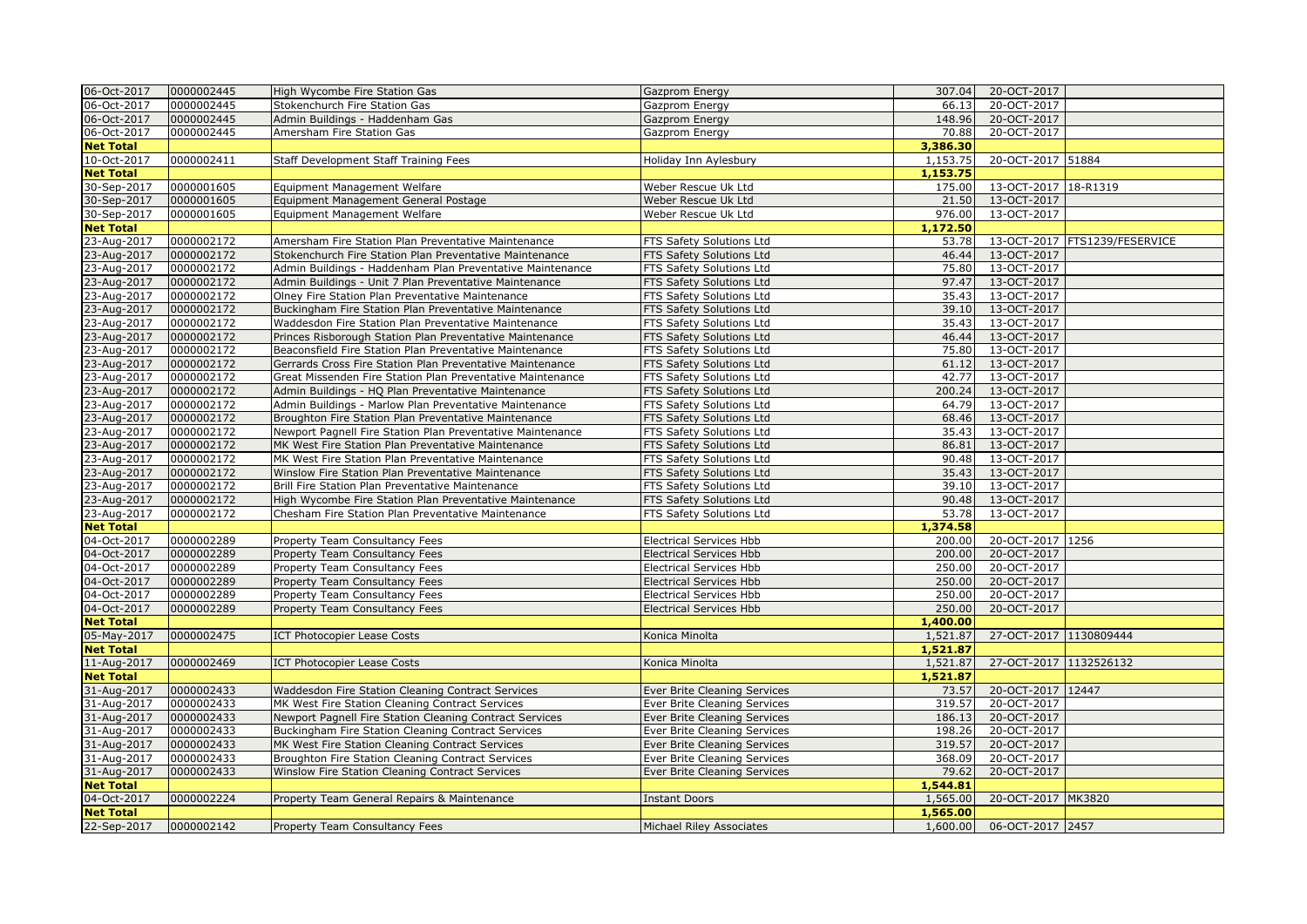| 06-Oct-2017                     | 0000002445 | High Wycombe Fire Station Gas                              | Gazprom Energy                      | 307.04               | 20-OCT-2017            |                                 |
|---------------------------------|------------|------------------------------------------------------------|-------------------------------------|----------------------|------------------------|---------------------------------|
| 06-Oct-2017                     | 0000002445 | Stokenchurch Fire Station Gas                              | Gazprom Energy                      | 66.13                | 20-OCT-2017            |                                 |
| 06-Oct-2017                     | 0000002445 | Admin Buildings - Haddenham Gas                            | Gazprom Energy                      | 148.96               | 20-OCT-2017            |                                 |
| 06-Oct-2017                     | 0000002445 | Amersham Fire Station Gas                                  | Gazprom Energy                      | 70.88                | 20-OCT-2017            |                                 |
| <b>Net Total</b>                |            |                                                            |                                     | 3,386.30             |                        |                                 |
| 10-Oct-2017                     | 0000002411 | Staff Development Staff Training Fees                      | Holiday Inn Aylesbury               | 1,153.75             | 20-OCT-2017 51884      |                                 |
| <b>Net Total</b>                |            |                                                            |                                     | 1,153.75             |                        |                                 |
| 30-Sep-2017                     | 0000001605 | Equipment Management Welfare                               | Weber Rescue Uk Ltd                 | 175.00               | 13-OCT-2017 18-R1319   |                                 |
| 30-Sep-2017                     | 0000001605 | Equipment Management General Postage                       | Weber Rescue Uk Ltd                 | 21.50                | 13-OCT-2017            |                                 |
| 30-Sep-2017                     | 0000001605 | Equipment Management Welfare                               | Weber Rescue Uk Ltd                 | 976.00               | 13-OCT-2017            |                                 |
| <b>Net Total</b>                |            |                                                            |                                     | 1,172.50             |                        |                                 |
| 23-Aug-2017                     | 0000002172 | Amersham Fire Station Plan Preventative Maintenance        | FTS Safety Solutions Ltd            | 53.78                |                        | 13-OCT-2017   FTS1239/FESERVICE |
| 23-Aug-2017                     | 0000002172 | Stokenchurch Fire Station Plan Preventative Maintenance    | FTS Safety Solutions Ltd            | 46.44                | 13-OCT-2017            |                                 |
| 23-Aug-2017                     | 0000002172 | Admin Buildings - Haddenham Plan Preventative Maintenance  | FTS Safety Solutions Ltd            | 75.80                | 13-OCT-2017            |                                 |
| 23-Aug-2017                     | 0000002172 | Admin Buildings - Unit 7 Plan Preventative Maintenance     | FTS Safety Solutions Ltd            | 97.47                | 13-OCT-2017            |                                 |
| 23-Aug-2017                     | 0000002172 | Olney Fire Station Plan Preventative Maintenance           | FTS Safety Solutions Ltd            | 35.43                | 13-OCT-2017            |                                 |
| 23-Aug-2017                     | 0000002172 | Buckingham Fire Station Plan Preventative Maintenance      | FTS Safety Solutions Ltd            | 39.10                | 13-OCT-2017            |                                 |
| 23-Aug-2017                     | 0000002172 | Waddesdon Fire Station Plan Preventative Maintenance       | FTS Safety Solutions Ltd            | 35.43                | 13-OCT-2017            |                                 |
| 23-Aug-2017                     | 0000002172 | Princes Risborough Station Plan Preventative Maintenance   | FTS Safety Solutions Ltd            | 46.44                | 13-OCT-2017            |                                 |
| 23-Aug-2017                     | 0000002172 | Beaconsfield Fire Station Plan Preventative Maintenance    | FTS Safety Solutions Ltd            | 75.80                | 13-OCT-2017            |                                 |
| 23-Aug-2017                     | 0000002172 | Gerrards Cross Fire Station Plan Preventative Maintenance  | FTS Safety Solutions Ltd            | 61.12                | 13-OCT-2017            |                                 |
| 23-Aug-2017                     | 0000002172 | Great Missenden Fire Station Plan Preventative Maintenance | FTS Safety Solutions Ltd            | 42.77                | 13-OCT-2017            |                                 |
| 23-Aug-2017                     | 0000002172 | Admin Buildings - HQ Plan Preventative Maintenance         | FTS Safety Solutions Ltd            | 200.24               | 13-OCT-2017            |                                 |
| 23-Aug-2017                     | 0000002172 | Admin Buildings - Marlow Plan Preventative Maintenance     | FTS Safety Solutions Ltd            | 64.79                | 13-OCT-2017            |                                 |
| 23-Aug-2017                     | 0000002172 | Broughton Fire Station Plan Preventative Maintenance       | FTS Safety Solutions Ltd            | 68.46                | 13-OCT-2017            |                                 |
| 23-Aug-2017                     | 0000002172 | Newport Pagnell Fire Station Plan Preventative Maintenance | FTS Safety Solutions Ltd            | 35.43                | 13-OCT-2017            |                                 |
| 23-Aug-2017                     | 0000002172 | MK West Fire Station Plan Preventative Maintenance         | FTS Safety Solutions Ltd            | 86.81                | 13-OCT-2017            |                                 |
| 23-Aug-2017                     | 0000002172 | MK West Fire Station Plan Preventative Maintenance         | FTS Safety Solutions Ltd            | 90.48                | 13-OCT-2017            |                                 |
| 23-Aug-2017                     | 0000002172 | Winslow Fire Station Plan Preventative Maintenance         | FTS Safety Solutions Ltd            | 35.43                | 13-OCT-2017            |                                 |
| 23-Aug-2017                     | 0000002172 | Brill Fire Station Plan Preventative Maintenance           | FTS Safety Solutions Ltd            | 39.10                | 13-OCT-2017            |                                 |
| 23-Aug-2017                     | 0000002172 | High Wycombe Fire Station Plan Preventative Maintenance    | FTS Safety Solutions Ltd            | 90.48                | 13-OCT-2017            |                                 |
| 23-Aug-2017                     | 0000002172 | Chesham Fire Station Plan Preventative Maintenance         | FTS Safety Solutions Ltd            | 53.78                | 13-OCT-2017            |                                 |
| <b>Net Total</b>                |            |                                                            |                                     | 1,374.58             |                        |                                 |
| 04-Oct-2017                     | 0000002289 | Property Team Consultancy Fees                             | Electrical Services Hbb             | 200.00               | 20-OCT-2017 1256       |                                 |
| 04-Oct-2017                     | 0000002289 | Property Team Consultancy Fees                             | <b>Electrical Services Hbb</b>      | 200.00               | 20-OCT-2017            |                                 |
| 04-Oct-2017                     | 0000002289 | Property Team Consultancy Fees                             | <b>Electrical Services Hbb</b>      | 250.00               | 20-OCT-2017            |                                 |
| 04-Oct-2017                     | 0000002289 | Property Team Consultancy Fees                             | <b>Electrical Services Hbb</b>      | 250.00               | 20-OCT-2017            |                                 |
| 04-Oct-2017                     | 0000002289 | Property Team Consultancy Fees                             | <b>Electrical Services Hbb</b>      | 250.00               | 20-OCT-2017            |                                 |
| 04-Oct-2017                     | 0000002289 | Property Team Consultancy Fees                             | Electrical Services Hbb             | 250.00               | 20-OCT-2017            |                                 |
| <b>Net Total</b>                |            |                                                            |                                     | 1,400.00             |                        |                                 |
| 05-May-2017<br><b>Net Total</b> | 0000002475 | <b>ICT Photocopier Lease Costs</b>                         | Konica Minolta                      | 1,521.87<br>1,521.87 | 27-OCT-2017 1130809444 |                                 |
| 11-Aug-2017                     | 0000002469 | <b>ICT Photocopier Lease Costs</b>                         | Konica Minolta                      | 1,521.87             | 27-OCT-2017 1132526132 |                                 |
| <b>Net Total</b>                |            |                                                            |                                     | 1,521.87             |                        |                                 |
| 31-Aug-2017                     | 0000002433 | Waddesdon Fire Station Cleaning Contract Services          | Ever Brite Cleaning Services        | 73.57                | 20-OCT-2017 12447      |                                 |
| 31-Aug-2017                     | 0000002433 | MK West Fire Station Cleaning Contract Services            | Ever Brite Cleaning Services        | 319.57               | 20-OCT-2017            |                                 |
| 31-Aug-2017                     | 0000002433 | Newport Pagnell Fire Station Cleaning Contract Services    | <b>Ever Brite Cleaning Services</b> | 186.13               | 20-OCT-2017            |                                 |
| 31-Aug-2017                     | 0000002433 | Buckingham Fire Station Cleaning Contract Services         | Ever Brite Cleaning Services        | 198.26               | 20-OCT-2017            |                                 |
| 31-Aug-2017                     | 0000002433 | MK West Fire Station Cleaning Contract Services            | Ever Brite Cleaning Services        | 319.57               | 20-OCT-2017            |                                 |
| 31-Aug-2017                     | 0000002433 | Broughton Fire Station Cleaning Contract Services          | Ever Brite Cleaning Services        | 368.09               | 20-OCT-2017            |                                 |
| 31-Aug-2017                     | 0000002433 | Winslow Fire Station Cleaning Contract Services            | Ever Brite Cleaning Services        | 79.62                | 20-OCT-2017            |                                 |
| <b>Net Total</b>                |            |                                                            |                                     | 1,544.81             |                        |                                 |
| 04-Oct-2017                     | 0000002224 | Property Team General Repairs & Maintenance                | <b>Instant Doors</b>                | 1,565.00             | 20-OCT-2017 MK3820     |                                 |
| <b>Net Total</b>                |            |                                                            |                                     | 1,565.00             |                        |                                 |
| 22-Sep-2017                     | 0000002142 | Property Team Consultancy Fees                             | Michael Riley Associates            | 1,600.00             | 06-OCT-2017 2457       |                                 |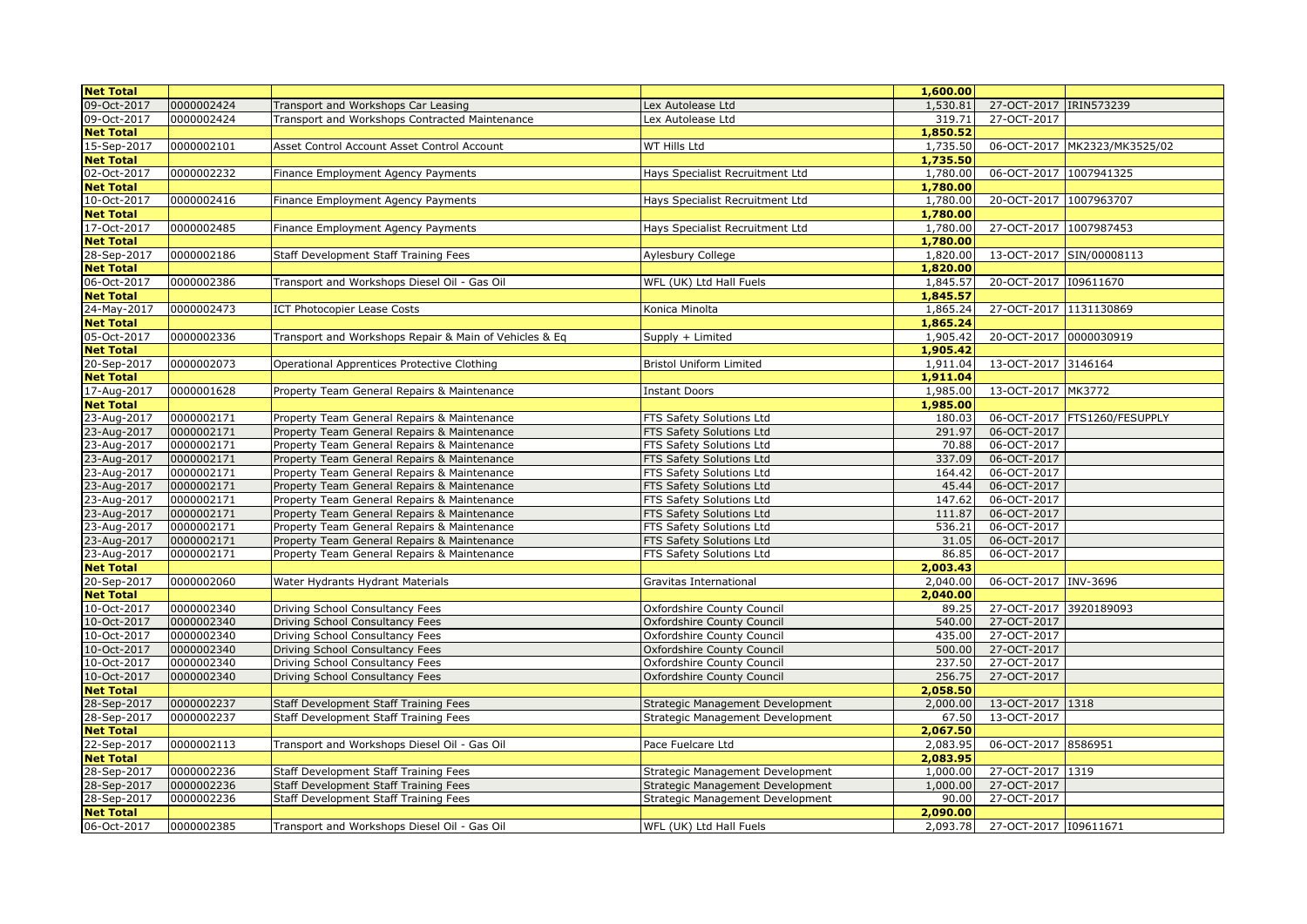| 09-Oct-2017<br>0000002424<br>1,530.81<br>Transport and Workshops Car Leasing<br>Lex Autolease Ltd<br>09-Oct-2017<br>0000002424<br>319.71<br>27-OCT-2017<br>Transport and Workshops Contracted Maintenance<br>Lex Autolease Ltd<br><b>Net Total</b><br>1,850.52 | 27-OCT-2017 IRIN573239       |
|----------------------------------------------------------------------------------------------------------------------------------------------------------------------------------------------------------------------------------------------------------------|------------------------------|
|                                                                                                                                                                                                                                                                |                              |
|                                                                                                                                                                                                                                                                |                              |
|                                                                                                                                                                                                                                                                |                              |
| 15-Sep-2017<br>0000002101<br>Asset Control Account Asset Control Account<br>WT Hills Ltd<br>1,735.50                                                                                                                                                           | 06-OCT-2017 MK2323/MK3525/02 |
| 1,735.50<br><b>Net Total</b>                                                                                                                                                                                                                                   |                              |
| 02-Oct-2017<br>1,780.00<br>0000002232<br>Finance Employment Agency Payments<br>Hays Specialist Recruitment Ltd                                                                                                                                                 | 06-OCT-2017 1007941325       |
| <b>Net Total</b><br>1,780.00                                                                                                                                                                                                                                   |                              |
| 10-Oct-2017<br>0000002416<br>Hays Specialist Recruitment Ltd<br>1,780.00<br>Finance Employment Agency Payments                                                                                                                                                 | 20-OCT-2017 1007963707       |
| <b>Net Total</b><br>1,780.00                                                                                                                                                                                                                                   |                              |
| 17-Oct-2017<br>0000002485<br>1,780.00<br>Finance Employment Agency Payments<br>Hays Specialist Recruitment Ltd                                                                                                                                                 | 27-OCT-2017 1007987453       |
| <b>Net Total</b><br>1,780.00                                                                                                                                                                                                                                   |                              |
| 28-Sep-2017<br>0000002186<br>Staff Development Staff Training Fees<br>1,820.00<br>Aylesbury College                                                                                                                                                            | 13-OCT-2017 SIN/00008113     |
| <b>Net Total</b><br>1,820.00                                                                                                                                                                                                                                   |                              |
| 06-Oct-2017<br>0000002386<br>1,845.57<br>Transport and Workshops Diesel Oil - Gas Oil<br>WFL (UK) Ltd Hall Fuels                                                                                                                                               | 20-OCT-2017 109611670        |
| <b>Net Total</b><br>1,845.57                                                                                                                                                                                                                                   |                              |
| 24-May-2017<br>0000002473<br>1,865.24<br><b>ICT Photocopier Lease Costs</b><br>Konica Minolta                                                                                                                                                                  | 27-OCT-2017 1131130869       |
| <b>Net Total</b><br>1,865.24                                                                                                                                                                                                                                   |                              |
| 05-Oct-2017<br>0000002336<br>Transport and Workshops Repair & Main of Vehicles & Eq<br>1,905.42<br>Supply + Limited                                                                                                                                            | 20-OCT-2017 0000030919       |
| 1,905.42<br><b>Net Total</b>                                                                                                                                                                                                                                   |                              |
| 13-OCT-2017 3146164<br>20-Sep-2017<br>0000002073<br>Operational Apprentices Protective Clothing<br>Bristol Uniform Limited<br>1,911.04                                                                                                                         |                              |
| <b>Net Total</b><br>1,911.04                                                                                                                                                                                                                                   |                              |
| 17-Aug-2017<br>0000001628<br>1,985.00<br>13-OCT-2017 MK3772<br>Property Team General Repairs & Maintenance<br><b>Instant Doors</b>                                                                                                                             |                              |
| <b>Net Total</b><br>1,985.00                                                                                                                                                                                                                                   |                              |
| 23-Aug-2017<br>0000002171<br>180.03<br>Property Team General Repairs & Maintenance<br>FTS Safety Solutions Ltd                                                                                                                                                 | 06-OCT-2017 FTS1260/FESUPPLY |
| 23-Aug-2017<br>0000002171<br>291.97<br>06-OCT-2017<br>Property Team General Repairs & Maintenance<br>FTS Safety Solutions Ltd                                                                                                                                  |                              |
| 23-Aug-2017<br>0000002171<br>70.88<br>06-OCT-2017<br>Property Team General Repairs & Maintenance<br>FTS Safety Solutions Ltd                                                                                                                                   |                              |
| 23-Aug-2017<br>06-OCT-2017<br>0000002171<br>Property Team General Repairs & Maintenance<br>FTS Safety Solutions Ltd<br>337.09                                                                                                                                  |                              |
| 23-Aug-2017<br>0000002171<br>164.42<br>06-OCT-2017<br>Property Team General Repairs & Maintenance<br>FTS Safety Solutions Ltd                                                                                                                                  |                              |
| 23-Aug-2017<br>0000002171<br>45.44<br>06-OCT-2017<br>Property Team General Repairs & Maintenance<br>FTS Safety Solutions Ltd                                                                                                                                   |                              |
| 23-Aug-2017<br>0000002171<br>147.62<br>06-OCT-2017<br>Property Team General Repairs & Maintenance<br>FTS Safety Solutions Ltd                                                                                                                                  |                              |
| 23-Aug-2017<br>0000002171<br>06-OCT-2017<br>Property Team General Repairs & Maintenance<br>FTS Safety Solutions Ltd<br>111.87                                                                                                                                  |                              |
| 23-Aug-2017<br>0000002171<br>536.21<br>Property Team General Repairs & Maintenance<br>FTS Safety Solutions Ltd<br>06-OCT-2017                                                                                                                                  |                              |
| 23-Aug-2017<br>06-OCT-2017<br>0000002171<br>Property Team General Repairs & Maintenance<br>FTS Safety Solutions Ltd<br>31.05                                                                                                                                   |                              |
| 23-Aug-2017<br>0000002171<br>06-OCT-2017<br>Property Team General Repairs & Maintenance<br>FTS Safety Solutions Ltd<br>86.85                                                                                                                                   |                              |
| 2,003.43<br><b>Net Total</b>                                                                                                                                                                                                                                   |                              |
| 0000002060<br>06-OCT-2017 INV-3696<br>Water Hydrants Hydrant Materials<br>20-Sep-2017<br>Gravitas International<br>2,040.00                                                                                                                                    |                              |
| 2,040.00<br><b>Net Total</b>                                                                                                                                                                                                                                   |                              |
| 10-Oct-2017<br>0000002340<br>89.25<br>Driving School Consultancy Fees<br>Oxfordshire County Council                                                                                                                                                            | 27-OCT-2017 3920189093       |
| 10-Oct-2017<br>0000002340<br>540.00<br>27-OCT-2017<br>Driving School Consultancy Fees<br>Oxfordshire County Council                                                                                                                                            |                              |
| 0000002340<br>27-OCT-2017<br>10-Oct-2017<br>Driving School Consultancy Fees<br>Oxfordshire County Council<br>435.00                                                                                                                                            |                              |
| 10-Oct-2017<br>0000002340<br>500.00<br>27-OCT-2017<br>Driving School Consultancy Fees<br>Oxfordshire County Council                                                                                                                                            |                              |
| 10-Oct-2017<br>0000002340<br>237.50<br>27-OCT-2017<br>Driving School Consultancy Fees<br>Oxfordshire County Council                                                                                                                                            |                              |
| 0000002340<br>10-Oct-2017<br>27-OCT-2017<br>Driving School Consultancy Fees<br>Oxfordshire County Council<br>256.75                                                                                                                                            |                              |
| <b>Net Total</b><br>2,058.50                                                                                                                                                                                                                                   |                              |
| 28-Sep-2017<br>0000002237<br>2,000.00<br>13-OCT-2017 1318<br>Staff Development Staff Training Fees<br>Strategic Management Development                                                                                                                         |                              |
| 28-Sep-2017<br>0000002237<br>13-OCT-2017<br>Staff Development Staff Training Fees<br>Strategic Management Development<br>67.50                                                                                                                                 |                              |
| <b>Net Total</b><br>2,067.50                                                                                                                                                                                                                                   |                              |
| 22-Sep-2017<br>0000002113<br>Transport and Workshops Diesel Oil - Gas Oil<br>2,083.95<br>06-OCT-2017 8586951<br>Pace Fuelcare Ltd                                                                                                                              |                              |
| <b>Net Total</b><br>2,083.95                                                                                                                                                                                                                                   |                              |
| 28-Sep-2017<br>0000002236<br>27-OCT-2017 1319<br>Staff Development Staff Training Fees<br>Strategic Management Development<br>1,000.00                                                                                                                         |                              |
| 28-Sep-2017<br>0000002236<br>27-OCT-2017<br>Staff Development Staff Training Fees<br>Strategic Management Development<br>1,000.00                                                                                                                              |                              |
| 27-OCT-2017<br>28-Sep-2017<br>0000002236<br>Staff Development Staff Training Fees<br>90.00<br>Strategic Management Development                                                                                                                                 |                              |
| <b>Net Total</b><br>2,090.00                                                                                                                                                                                                                                   |                              |
| 06-Oct-2017<br>0000002385<br>Transport and Workshops Diesel Oil - Gas Oil<br>WFL (UK) Ltd Hall Fuels<br>2,093.78                                                                                                                                               | 27-OCT-2017 109611671        |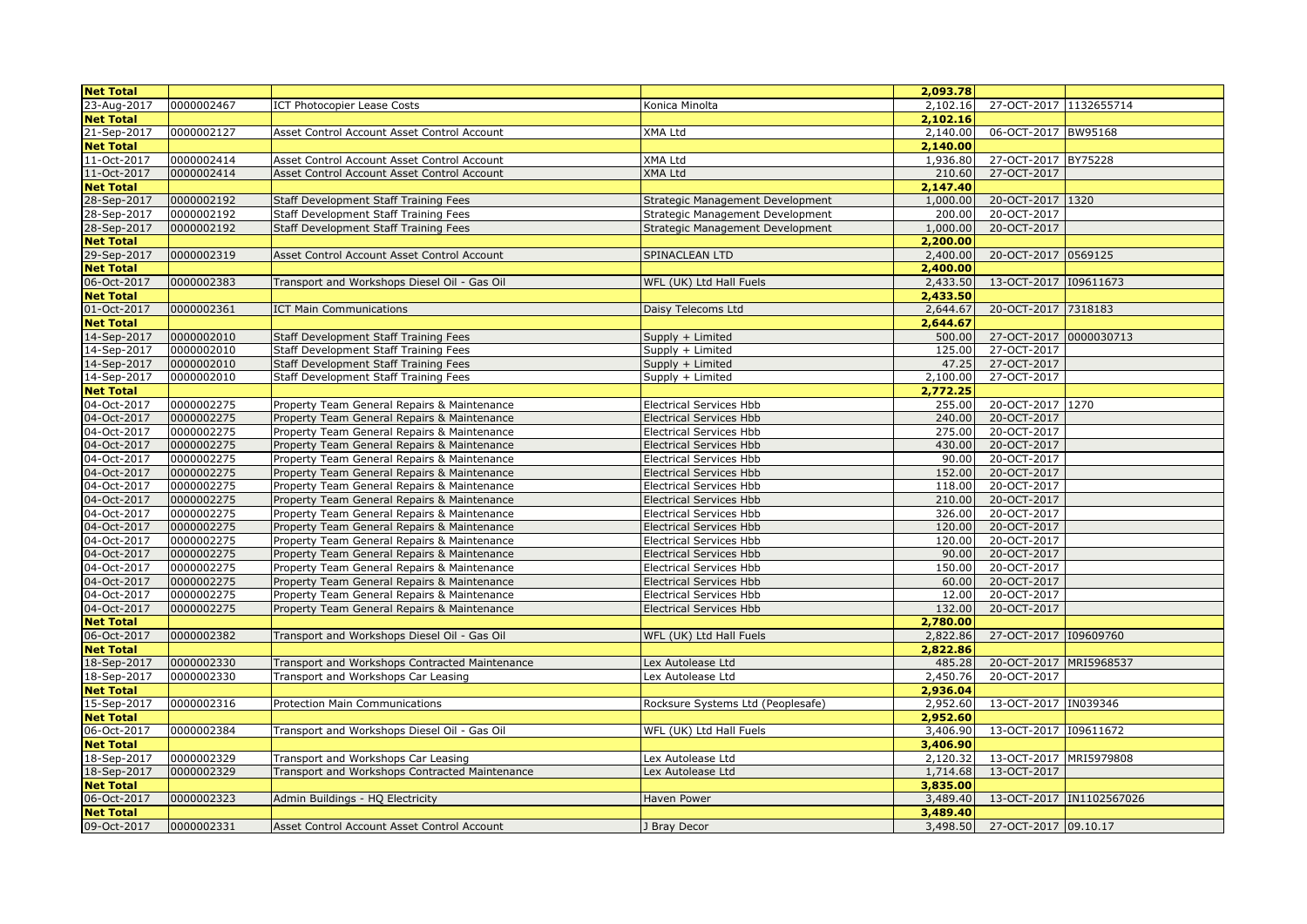| <b>Net Total</b>           |                          |                                                                                            |                                                                  | 2,093.78         |                               |                           |
|----------------------------|--------------------------|--------------------------------------------------------------------------------------------|------------------------------------------------------------------|------------------|-------------------------------|---------------------------|
| 23-Aug-2017                | 0000002467               | <b>ICT Photocopier Lease Costs</b>                                                         | Konica Minolta                                                   | 2,102.16         | 27-OCT-2017 1132655714        |                           |
| <b>Net Total</b>           |                          |                                                                                            |                                                                  | 2,102.16         |                               |                           |
| 21-Sep-2017                | 0000002127               | Asset Control Account Asset Control Account                                                | XMA Ltd                                                          | 2,140.00         | 06-OCT-2017 BW95168           |                           |
| <b>Net Total</b>           |                          |                                                                                            |                                                                  | 2,140.00         |                               |                           |
| 11-Oct-2017                | 0000002414               | Asset Control Account Asset Control Account                                                | XMA Ltd                                                          | 1,936.80         | 27-OCT-2017 BY75228           |                           |
| 11-Oct-2017                | 0000002414               | Asset Control Account Asset Control Account                                                | <b>XMA Ltd</b>                                                   | 210.60           | 27-OCT-2017                   |                           |
| <b>Net Total</b>           |                          |                                                                                            |                                                                  | 2,147.40         |                               |                           |
| 28-Sep-2017                | 0000002192               | Staff Development Staff Training Fees                                                      | Strategic Management Development                                 | 1,000.00         | 20-OCT-2017 1320              |                           |
| 28-Sep-2017                | 0000002192               | Staff Development Staff Training Fees                                                      | Strategic Management Development                                 | 200.00           | 20-OCT-2017                   |                           |
| 28-Sep-2017                | 0000002192               | Staff Development Staff Training Fees                                                      | Strategic Management Development                                 | 1,000.00         | 20-OCT-2017                   |                           |
| <b>Net Total</b>           |                          |                                                                                            |                                                                  | 2,200.00         |                               |                           |
| 29-Sep-2017                | 0000002319               | Asset Control Account Asset Control Account                                                | SPINACLEAN LTD                                                   | 2,400.00         | 20-OCT-2017 0569125           |                           |
| <b>Net Total</b>           |                          |                                                                                            |                                                                  | 2,400.00         |                               |                           |
| 06-Oct-2017                | 0000002383               | Transport and Workshops Diesel Oil - Gas Oil                                               | WFL (UK) Ltd Hall Fuels                                          | 2,433.50         | 13-OCT-2017 109611673         |                           |
| <b>Net Total</b>           |                          |                                                                                            |                                                                  | 2,433.50         |                               |                           |
| 01-Oct-2017                | 0000002361               | <b>ICT Main Communications</b>                                                             | Daisy Telecoms Ltd                                               | 2,644.67         | 20-OCT-2017 7318183           |                           |
| <b>Net Total</b>           |                          |                                                                                            |                                                                  | 2,644.67         |                               |                           |
| 14-Sep-2017                | 0000002010               | Staff Development Staff Training Fees                                                      | Supply + Limited                                                 | 500.00           | 27-OCT-2017 0000030713        |                           |
| 14-Sep-2017                | 0000002010               | Staff Development Staff Training Fees                                                      | Supply + Limited                                                 | 125.00           | 27-OCT-2017                   |                           |
| 14-Sep-2017                | 0000002010               | Staff Development Staff Training Fees                                                      | Supply + Limited                                                 | 47.25            | 27-OCT-2017                   |                           |
| 14-Sep-2017                | 0000002010               | Staff Development Staff Training Fees                                                      | Supply + Limited                                                 | 2,100.00         | 27-OCT-2017                   |                           |
| <b>Net Total</b>           |                          |                                                                                            |                                                                  | 2,772.25         |                               |                           |
| 04-Oct-2017                | 0000002275               | Property Team General Repairs & Maintenance                                                | <b>Electrical Services Hbb</b>                                   | 255.00           | 20-OCT-2017 1270              |                           |
| 04-Oct-2017                | 0000002275               | Property Team General Repairs & Maintenance                                                | <b>Electrical Services Hbb</b>                                   | 240.00           | 20-OCT-2017                   |                           |
| 04-Oct-2017                | 0000002275               | Property Team General Repairs & Maintenance                                                | <b>Electrical Services Hbb</b>                                   | 275.00           | 20-OCT-2017                   |                           |
| 04-Oct-2017                | 0000002275               | Property Team General Repairs & Maintenance                                                | <b>Electrical Services Hbb</b>                                   | 430.00           | 20-OCT-2017                   |                           |
| 04-Oct-2017                | 0000002275               | Property Team General Repairs & Maintenance                                                | <b>Electrical Services Hbb</b>                                   | 90.00            | 20-OCT-2017                   |                           |
| 04-Oct-2017                | 0000002275               | Property Team General Repairs & Maintenance                                                | <b>Electrical Services Hbb</b>                                   | 152.00           | 20-OCT-2017                   |                           |
| 04-Oct-2017                | 0000002275               | Property Team General Repairs & Maintenance                                                | <b>Electrical Services Hbb</b>                                   | 118.00           | 20-OCT-2017                   |                           |
| 04-Oct-2017<br>04-Oct-2017 | 0000002275               | Property Team General Repairs & Maintenance                                                | <b>Electrical Services Hbb</b>                                   | 210.00           | 20-OCT-2017                   |                           |
| 04-Oct-2017                | 0000002275<br>0000002275 | Property Team General Repairs & Maintenance                                                | <b>Electrical Services Hbb</b>                                   | 326.00<br>120.00 | 20-OCT-2017<br>20-OCT-2017    |                           |
| 04-Oct-2017                | 0000002275               | Property Team General Repairs & Maintenance                                                | <b>Electrical Services Hbb</b>                                   | 120.00           | 20-OCT-2017                   |                           |
| 04-Oct-2017                | 0000002275               | Property Team General Repairs & Maintenance<br>Property Team General Repairs & Maintenance | <b>Electrical Services Hbb</b><br><b>Electrical Services Hbb</b> | 90.00            | 20-OCT-2017                   |                           |
| 04-Oct-2017                | 0000002275               | Property Team General Repairs & Maintenance                                                | <b>Electrical Services Hbb</b>                                   | 150.00           | 20-OCT-2017                   |                           |
| 04-Oct-2017                | 0000002275               | Property Team General Repairs & Maintenance                                                | <b>Electrical Services Hbb</b>                                   | 60.00            | 20-OCT-2017                   |                           |
| 04-Oct-2017                | 0000002275               | Property Team General Repairs & Maintenance                                                | <b>Electrical Services Hbb</b>                                   | 12.00            | 20-OCT-2017                   |                           |
| 04-Oct-2017                | 0000002275               | Property Team General Repairs & Maintenance                                                | <b>Electrical Services Hbb</b>                                   | 132.00           | 20-OCT-2017                   |                           |
| <b>Net Total</b>           |                          |                                                                                            |                                                                  | 2,780.00         |                               |                           |
| 06-Oct-2017                | 0000002382               | Transport and Workshops Diesel Oil - Gas Oil                                               | WFL (UK) Ltd Hall Fuels                                          | 2,822.86         | 27-OCT-2017 109609760         |                           |
| <b>Net Total</b>           |                          |                                                                                            |                                                                  | 2,822.86         |                               |                           |
| 18-Sep-2017                | 0000002330               | Transport and Workshops Contracted Maintenance                                             | Lex Autolease Ltd                                                | 485.28           | 20-OCT-2017 MRI5968537        |                           |
| 18-Sep-2017                | 0000002330               | Transport and Workshops Car Leasing                                                        | Lex Autolease Ltd                                                | 2,450.76         | 20-OCT-2017                   |                           |
| <b>Net Total</b>           |                          |                                                                                            |                                                                  | 2,936.04         |                               |                           |
| 15-Sep-2017                | 0000002316               | Protection Main Communications                                                             | Rocksure Systems Ltd (Peoplesafe)                                | 2,952.60         | 13-OCT-2017 IN039346          |                           |
| <b>Net Total</b>           |                          |                                                                                            |                                                                  | 2,952.60         |                               |                           |
| 06-Oct-2017                | 0000002384               | Transport and Workshops Diesel Oil - Gas Oil                                               | WFL (UK) Ltd Hall Fuels                                          | 3,406.90         | 13-OCT-2017 109611672         |                           |
| <b>Net Total</b>           |                          |                                                                                            |                                                                  | 3,406.90         |                               |                           |
| 18-Sep-2017                | 0000002329               | Transport and Workshops Car Leasing                                                        | Lex Autolease Ltd                                                | 2,120.32         | 13-OCT-2017 MRI5979808        |                           |
| 18-Sep-2017                | 0000002329               | Transport and Workshops Contracted Maintenance                                             | Lex Autolease Ltd                                                | 1,714.68         | 13-OCT-2017                   |                           |
| <b>Net Total</b>           |                          |                                                                                            |                                                                  | 3,835.00         |                               |                           |
| 06-Oct-2017                | 0000002323               | Admin Buildings - HQ Electricity                                                           | Haven Power                                                      | 3,489.40         |                               | 13-OCT-2017  IN1102567026 |
| <b>Net Total</b>           |                          |                                                                                            |                                                                  | 3,489.40         |                               |                           |
| 09-Oct-2017                | 0000002331               | Asset Control Account Asset Control Account                                                | J Bray Decor                                                     |                  | 3,498.50 27-OCT-2017 09.10.17 |                           |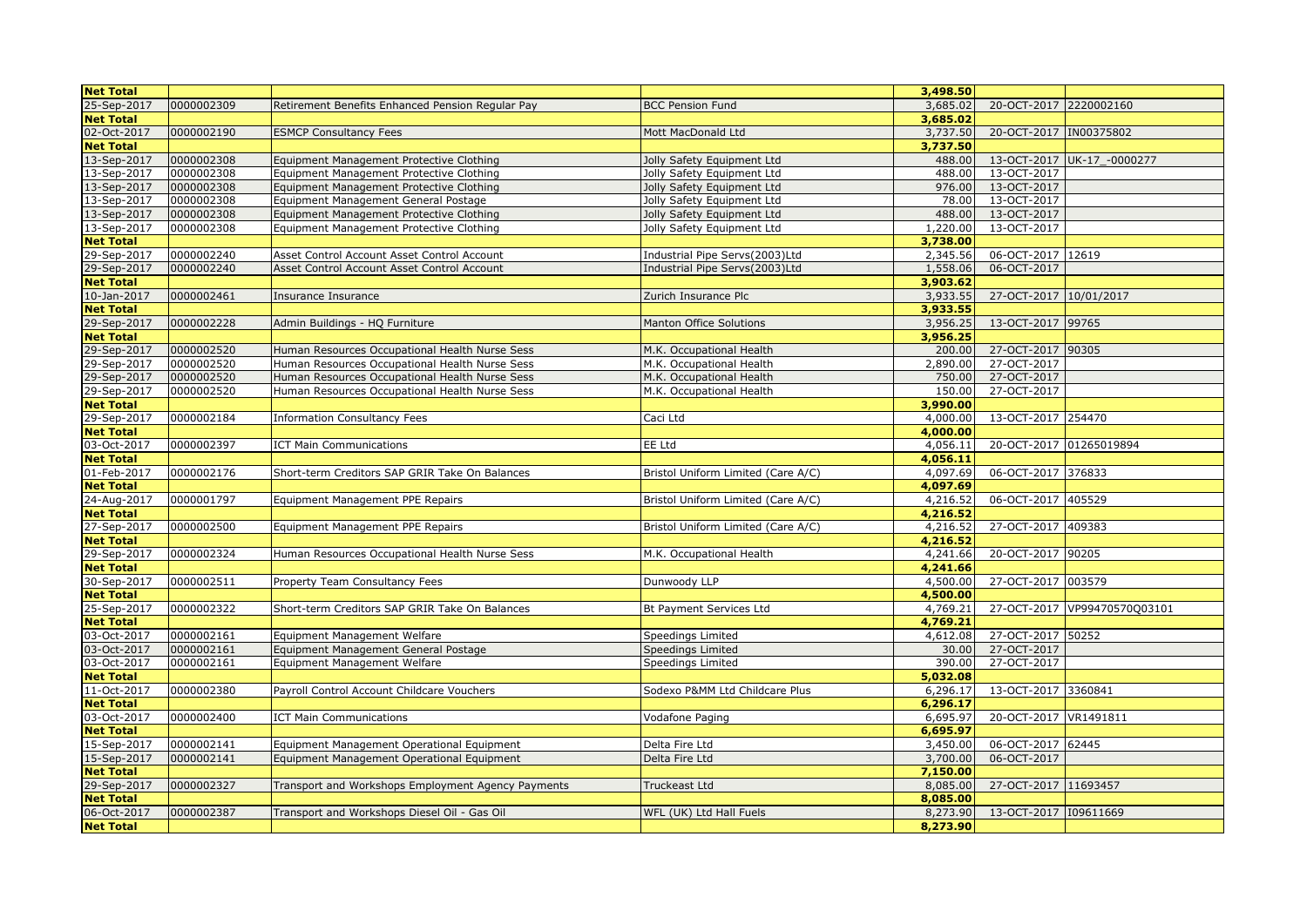| <b>Net Total</b> |            |                                                    |                                    | 3,498.50 |                        |                              |
|------------------|------------|----------------------------------------------------|------------------------------------|----------|------------------------|------------------------------|
| 25-Sep-2017      | 0000002309 | Retirement Benefits Enhanced Pension Regular Pay   | <b>BCC Pension Fund</b>            | 3,685.02 | 20-OCT-2017 2220002160 |                              |
| <b>Net Total</b> |            |                                                    |                                    | 3,685.02 |                        |                              |
| 02-Oct-2017      | 0000002190 | <b>ESMCP Consultancy Fees</b>                      | Mott MacDonald Ltd                 | 3,737.50 | 20-OCT-2017 IN00375802 |                              |
| <b>Net Total</b> |            |                                                    |                                    | 3,737.50 |                        |                              |
| 13-Sep-2017      | 0000002308 | Equipment Management Protective Clothing           | Jolly Safety Equipment Ltd         | 488.00   |                        | 13-OCT-2017 UK-17 -0000277   |
| 13-Sep-2017      | 0000002308 | Equipment Management Protective Clothing           | Jolly Safety Equipment Ltd         | 488.00   | 13-OCT-2017            |                              |
| 13-Sep-2017      | 0000002308 | Equipment Management Protective Clothing           | Jolly Safety Equipment Ltd         | 976.00   | 13-OCT-2017            |                              |
| 13-Sep-2017      | 0000002308 | Equipment Management General Postage               | Jolly Safety Equipment Ltd         | 78.00    | 13-OCT-2017            |                              |
| 13-Sep-2017      | 0000002308 | Equipment Management Protective Clothing           | Jolly Safety Equipment Ltd         | 488.00   | 13-OCT-2017            |                              |
| 13-Sep-2017      | 0000002308 | Equipment Management Protective Clothing           | Jolly Safety Equipment Ltd         | 1,220.00 | 13-OCT-2017            |                              |
| <b>Net Total</b> |            |                                                    |                                    | 3,738.00 |                        |                              |
| 29-Sep-2017      | 0000002240 | Asset Control Account Asset Control Account        | Industrial Pipe Servs(2003)Ltd     | 2,345.56 | 06-OCT-2017 12619      |                              |
| 29-Sep-2017      | 0000002240 | Asset Control Account Asset Control Account        | Industrial Pipe Servs(2003)Ltd     | 1,558.06 | 06-OCT-2017            |                              |
| <b>Net Total</b> |            |                                                    |                                    | 3,903.62 |                        |                              |
| 10-Jan-2017      | 0000002461 | Insurance Insurance                                | Zurich Insurance Plc               | 3,933.55 | 27-OCT-2017 10/01/2017 |                              |
| <b>Net Total</b> |            |                                                    |                                    | 3,933.55 |                        |                              |
| 29-Sep-2017      | 0000002228 | Admin Buildings - HQ Furniture                     | <b>Manton Office Solutions</b>     | 3,956.25 | 13-OCT-2017 99765      |                              |
| <b>Net Total</b> |            |                                                    |                                    | 3,956.25 |                        |                              |
| 29-Sep-2017      | 0000002520 | Human Resources Occupational Health Nurse Sess     | M.K. Occupational Health           | 200.00   | 27-OCT-2017 90305      |                              |
| 29-Sep-2017      | 0000002520 | Human Resources Occupational Health Nurse Sess     | M.K. Occupational Health           | 2,890.00 | 27-OCT-2017            |                              |
| 29-Sep-2017      | 0000002520 | Human Resources Occupational Health Nurse Sess     | M.K. Occupational Health           | 750.00   | 27-OCT-2017            |                              |
| 29-Sep-2017      | 0000002520 | Human Resources Occupational Health Nurse Sess     | M.K. Occupational Health           | 150.00   | 27-OCT-2017            |                              |
| <b>Net Total</b> |            |                                                    |                                    | 3,990.00 |                        |                              |
| 29-Sep-2017      | 0000002184 | <b>Information Consultancy Fees</b>                | Caci Ltd                           | 4,000.00 | 13-OCT-2017 254470     |                              |
| <b>Net Total</b> |            |                                                    |                                    | 4,000.00 |                        |                              |
| 03-Oct-2017      | 0000002397 | <b>ICT Main Communications</b>                     | EE Ltd                             | 4,056.11 |                        | 20-OCT-2017 01265019894      |
| <b>Net Total</b> |            |                                                    |                                    | 4,056.11 |                        |                              |
| 01-Feb-2017      | 0000002176 | Short-term Creditors SAP GRIR Take On Balances     | Bristol Uniform Limited (Care A/C) | 4,097.69 | 06-OCT-2017 376833     |                              |
| <b>Net Total</b> |            |                                                    |                                    | 4,097.69 |                        |                              |
| 24-Aug-2017      | 0000001797 | Equipment Management PPE Repairs                   | Bristol Uniform Limited (Care A/C) | 4,216.52 | 06-OCT-2017 405529     |                              |
| <b>Net Total</b> |            |                                                    |                                    | 4,216.52 |                        |                              |
| 27-Sep-2017      | 0000002500 | Equipment Management PPE Repairs                   | Bristol Uniform Limited (Care A/C) | 4,216.52 | 27-OCT-2017 409383     |                              |
| <b>Net Total</b> |            |                                                    |                                    | 4,216.52 |                        |                              |
| 29-Sep-2017      | 0000002324 | Human Resources Occupational Health Nurse Sess     | M.K. Occupational Health           | 4,241.66 | 20-OCT-2017 90205      |                              |
| <b>Net Total</b> |            |                                                    |                                    | 4,241.66 |                        |                              |
| 30-Sep-2017      | 0000002511 | Property Team Consultancy Fees                     | Dunwoody LLP                       | 4,500.00 | 27-OCT-2017 003579     |                              |
| <b>Net Total</b> |            |                                                    |                                    | 4,500.00 |                        |                              |
| 25-Sep-2017      | 0000002322 | Short-term Creditors SAP GRIR Take On Balances     | Bt Payment Services Ltd            | 4,769.21 |                        | 27-OCT-2017 VP99470570Q03101 |
| <b>Net Total</b> |            |                                                    |                                    | 4,769.21 |                        |                              |
| 03-Oct-2017      | 0000002161 | Equipment Management Welfare                       | Speedings Limited                  | 4,612.08 | 27-OCT-2017 50252      |                              |
| 03-Oct-2017      | 0000002161 | Equipment Management General Postage               | Speedings Limited                  | 30.00    | 27-OCT-2017            |                              |
| 03-Oct-2017      | 0000002161 | Equipment Management Welfare                       | Speedings Limited                  | 390.00   | 27-OCT-2017            |                              |
| <b>Net Total</b> |            |                                                    |                                    | 5,032.08 |                        |                              |
| 11-Oct-2017      | 0000002380 | Payroll Control Account Childcare Vouchers         | Sodexo P&MM Ltd Childcare Plus     | 6,296.17 | 13-OCT-2017 3360841    |                              |
| <b>Net Total</b> |            |                                                    |                                    | 6,296.17 |                        |                              |
| 03-Oct-2017      | 0000002400 | <b>ICT Main Communications</b>                     | Vodafone Paging                    | 6,695.97 | 20-OCT-2017 VR1491811  |                              |
| <b>Net Total</b> |            |                                                    |                                    | 6,695.97 |                        |                              |
| 15-Sep-2017      | 0000002141 | Equipment Management Operational Equipment         | Delta Fire Ltd                     | 3,450.00 | 06-OCT-2017 62445      |                              |
| 15-Sep-2017      | 0000002141 | Equipment Management Operational Equipment         | Delta Fire Ltd                     | 3,700.00 | 06-OCT-2017            |                              |
| <b>Net Total</b> |            |                                                    |                                    | 7,150.00 |                        |                              |
| 29-Sep-2017      | 0000002327 | Transport and Workshops Employment Agency Payments | Truckeast Ltd                      | 8,085.00 | 27-OCT-2017 11693457   |                              |
| <b>Net Total</b> |            |                                                    |                                    | 8,085.00 |                        |                              |
| 06-Oct-2017      | 0000002387 | Transport and Workshops Diesel Oil - Gas Oil       | WFL (UK) Ltd Hall Fuels            | 8,273.90 | 13-OCT-2017 109611669  |                              |
| <b>Net Total</b> |            |                                                    |                                    | 8,273.90 |                        |                              |